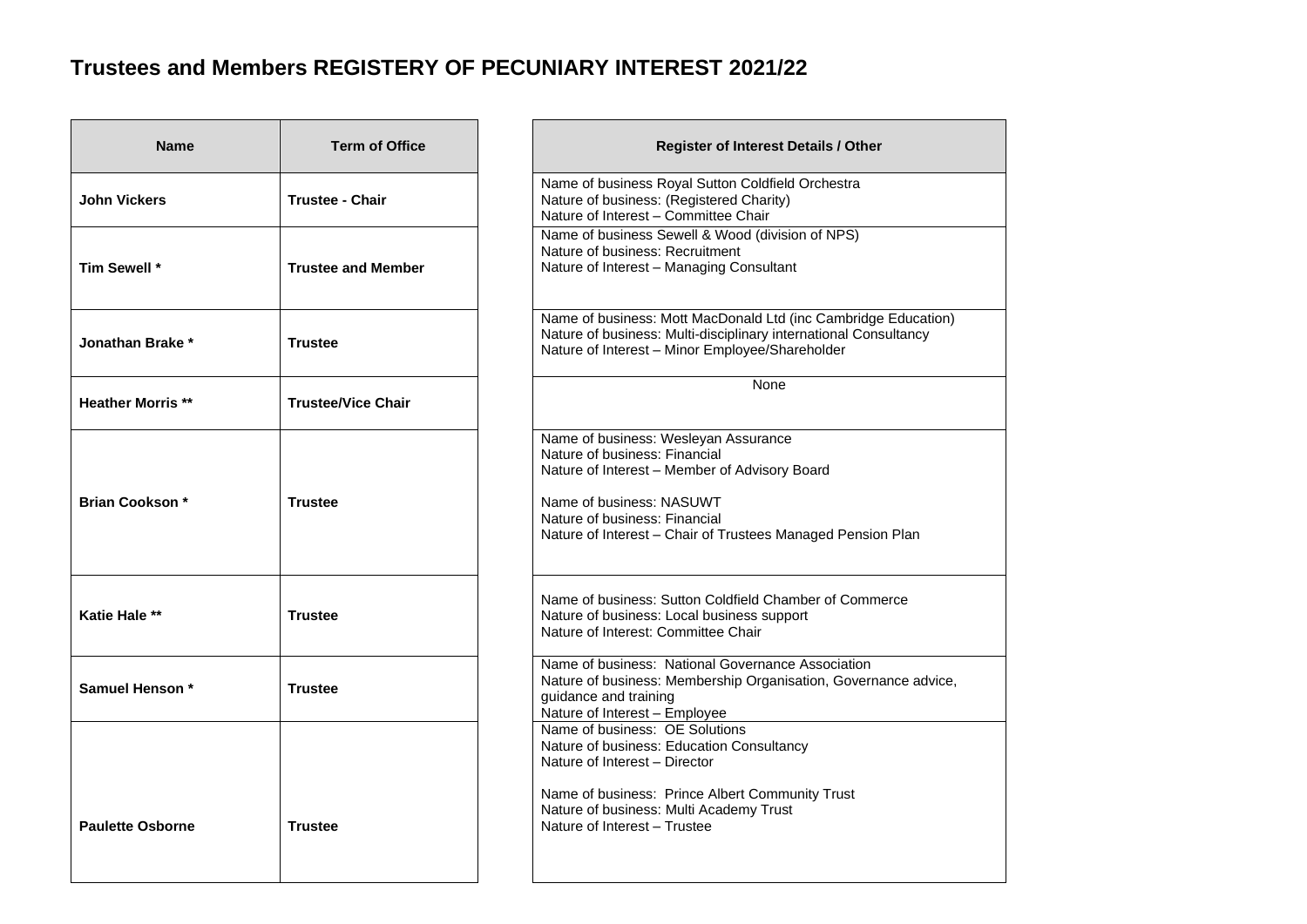## **Trustees and Members REGISTERY OF PECUNIARY INTEREST 2021/22**

| <b>Name</b>             | <b>Term of Office</b>     | Register of Interest Details / Other                                                                                                                                                                                                               |
|-------------------------|---------------------------|----------------------------------------------------------------------------------------------------------------------------------------------------------------------------------------------------------------------------------------------------|
| <b>John Vickers</b>     | <b>Trustee - Chair</b>    | Name of business Royal Sutton Coldfield Orchestra<br>Nature of business: (Registered Charity)<br>Nature of Interest - Committee Chair                                                                                                              |
| Tim Sewell *            | <b>Trustee and Member</b> | Name of business Sewell & Wood (division of NPS)<br>Nature of business: Recruitment<br>Nature of Interest - Managing Consultant                                                                                                                    |
| Jonathan Brake*         | <b>Trustee</b>            | Name of business: Mott MacDonald Ltd (inc Cambridge Education)<br>Nature of business: Multi-disciplinary international Consultancy<br>Nature of Interest - Minor Employee/Shareholder                                                              |
| <b>Heather Morris**</b> | <b>Trustee/Vice Chair</b> | None                                                                                                                                                                                                                                               |
| <b>Brian Cookson *</b>  | <b>Trustee</b>            | Name of business: Wesleyan Assurance<br>Nature of business: Financial<br>Nature of Interest - Member of Advisory Board<br>Name of business: NASUWT<br>Nature of business: Financial<br>Nature of Interest - Chair of Trustees Managed Pension Plan |
| <b>Katie Hale **</b>    | <b>Trustee</b>            | Name of business: Sutton Coldfield Chamber of Commerce<br>Nature of business: Local business support<br>Nature of Interest: Committee Chair                                                                                                        |
| Samuel Henson *         | <b>Trustee</b>            | Name of business: National Governance Association<br>Nature of business: Membership Organisation, Governance advice,<br>guidance and training<br>Nature of Interest - Employee                                                                     |
| <b>Paulette Osborne</b> | <b>Trustee</b>            | Name of business: OE Solutions<br>Nature of business: Education Consultancy<br>Nature of Interest - Director<br>Name of business: Prince Albert Community Trust<br>Nature of business: Multi Academy Trust<br>Nature of Interest - Trustee         |